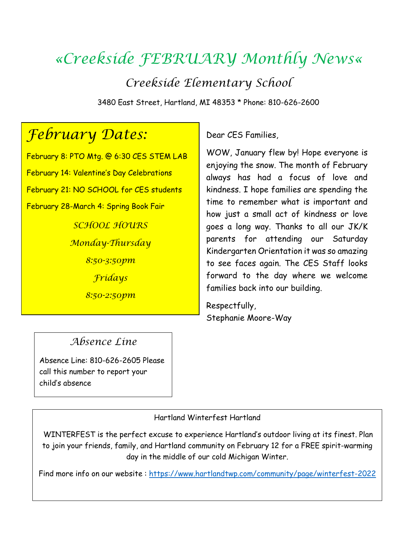# *«Creekside FEBRUARY Monthly News«*

*Creekside Elementary School*

3480 East Street, Hartland, MI 48353 \* Phone: 810-626-2600

## *February Dates:*

February 8: PTO Mtg. @ 6:30 CES STEM LAB February 14: Valentine's Day Celebrations February 21: NO SCHOOL for CES students February 28-March 4: Spring Book Fair *SCHOOL HOURS Monday-Thursday 8:50-3:50pm Fridays 8:50-2:50pm*

#### Dear CES Families,

WOW, January flew by! Hope everyone is enjoying the snow. The month of February always has had a focus of love and kindness. I hope families are spending the time to remember what is important and how just a small act of kindness or love goes a long way. Thanks to all our JK/K parents for attending our Saturday Kindergarten Orientation it was so amazing to see faces again. The CES Staff looks forward to the day where we welcome families back into our building.

Respectfully, Stephanie Moore-Way

#### *Absence Line*

 Absence Line: 810-626-2605 Please call this number to report your child's absence

Hartland Winterfest Hartland

WINTERFEST is the perfect excuse to experience Hartland's outdoor living at its finest. Plan to join your friends, family, and Hartland community on February 12 for a FREE spirit-warming day in the middle of our cold Michigan Winter.

Find more info on our website :<https://www.hartlandtwp.com/community/page/winterfest-2022>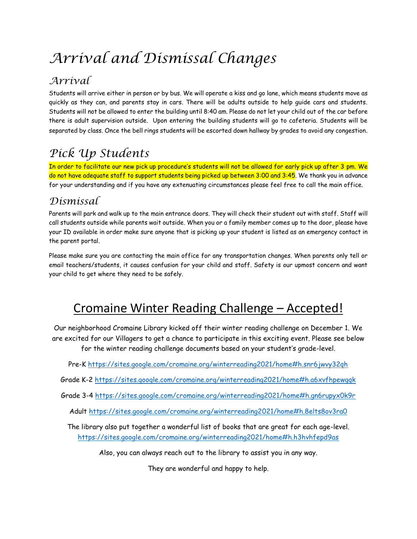# *Arrival and Dismissal Changes*

### *Arrival*

Students will arrive either in person or by bus. We will operate a kiss and go lane, which means students move as quickly as they can, and parents stay in cars. There will be adults outside to help guide cars and students. Students will not be allowed to enter the building until 8:40 am. Please do not let your child out of the car before there is adult supervision outside. Upon entering the building students will go to cafeteria. Students will be separated by class. Once the bell rings students will be escorted down hallway by grades to avoid any congestion.

## *Pick Up Students*

In order to facilitate our new pick up procedure's students will not be allowed for early pick up after 3 pm. We do not have adequate staff to support students being picked up between 3:00 and 3:45. We thank you in advance for your understanding and if you have any extenuating circumstances please feel free to call the main office.

#### *Dismissal*

Parents will park and walk up to the main entrance doors. They will check their student out with staff. Staff will call students outside while parents wait outside. When you or a family member comes up to the door, please have your ID available in order make sure anyone that is picking up your student is listed as an emergency contact in the parent portal.

Please make sure you are contacting the main office for any transportation changes. When parents only tell or email teachers/students, it causes confusion for your child and staff. Safety is our upmost concern and want your child to get where they need to be safely.

## Cromaine Winter Reading Challenge – Accepted!

Our neighborhood Cromaine Library kicked off their winter reading challenge on December 1. We are excited for our Villagers to get a chance to participate in this exciting event. Please see below for the winter reading challenge documents based on your student's grade-level.

Pre-K<https://sites.google.com/cromaine.org/winterreading2021/home#h.snr6jwvy32qh>

Grade K-2<https://sites.google.com/cromaine.org/winterreading2021/home#h.a6xvfhpewgqk>

Grade 3-4 <https://sites.google.com/cromaine.org/winterreading2021/home#h.gn6rupyx0k9r>

Adult<https://sites.google.com/cromaine.org/winterreading2021/home#h.8elts8ov3ra0>

The library also put together a wonderful list of books that are great for each age-level. <https://sites.google.com/cromaine.org/winterreading2021/home#h.h3hvhfepd9as>

Also, you can always reach out to the library to assist you in any way.

They are wonderful and happy to help.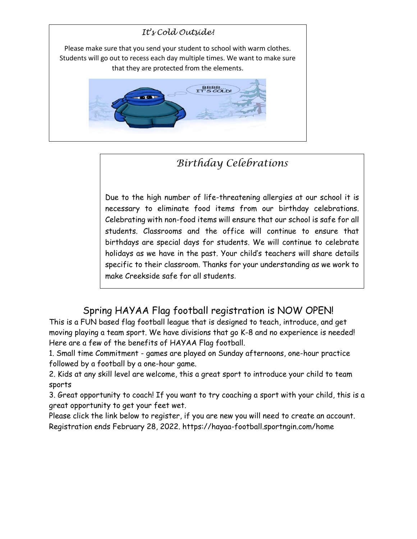

## *Birthday Celebrations*

Due to the high number of life-threatening allergies at our school it is necessary to eliminate food items from our birthday celebrations. Celebrating with non-food items will ensure that our school is safe for all students. Classrooms and the office will continue to ensure that birthdays are special days for students. We will continue to celebrate holidays as we have in the past. Your child's teachers will share details specific to their classroom. Thanks for your understanding as we work to make Creekside safe for all students.

### Spring HAYAA Flag football registration is NOW OPEN!

This is a FUN based flag football league that is designed to teach, introduce, and get moving playing a team sport. We have divisions that go K-8 and no experience is needed! Here are a few of the benefits of HAYAA Flag football.

1. Small time Commitment - games are played on Sunday afternoons, one-hour practice followed by a football by a one-hour game.

2. Kids at any skill level are welcome, this a great sport to introduce your child to team sports

3. Great opportunity to coach! If you want to try coaching a sport with your child, this is a great opportunity to get your feet wet.

Please click the link below to register, if you are new you will need to create an account. Registration ends February 28, 2022. https://hayaa-football.sportngin.com/home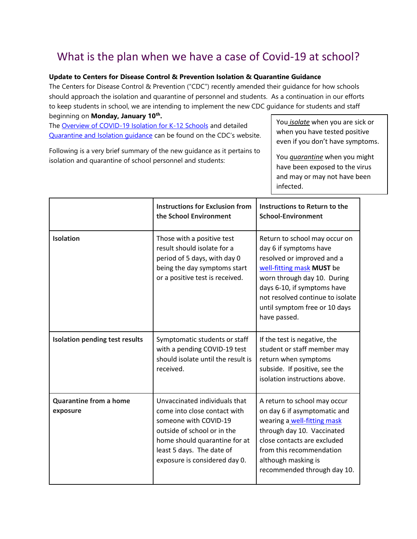## What is the plan when we have a case of Covid-19 at school?

#### **Update to Centers for Disease Control & Prevention Isolation & Quarantine Guidance**

The Centers for Disease Control & Prevention ("CDC") recently amended their guidance for how schools should approach the isolation and quarantine of personnel and students. As a continuation in our efforts to keep students in school, we are intending to implement the new CDC guidance for students and staff beginning on **Monday, January 10th .**

The [Overview of COVID-19 Isolation for K-12 Schools](https://www.cdc.gov/coronavirus/2019-ncov/community/schools-childcare/k-12-contact-tracing/about-isolation.html) and detaile[d](https://www.cdc.gov/coronavirus/2019-ncov/your-health/quarantine-isolation.html) [Quarantine and Isolation guidance](https://www.cdc.gov/coronavirus/2019-ncov/your-health/quarantine-isolation.html) can be found on the CDC's website.

Following is a very brief summary of the new guidance as it pertains to isolation and quarantine of school personnel and students:

You *isolate* when you are sick or when you have tested positive even if you don't have symptoms.

You *quarantine* when you might have been exposed to the virus and may or may not have been infected.

|                                           | <b>Instructions for Exclusion from</b><br>the School Environment                                                                                                                                                     | Instructions to Return to the<br><b>School-Environment</b>                                                                                                                                                                                                            |
|-------------------------------------------|----------------------------------------------------------------------------------------------------------------------------------------------------------------------------------------------------------------------|-----------------------------------------------------------------------------------------------------------------------------------------------------------------------------------------------------------------------------------------------------------------------|
| <b>Isolation</b>                          | Those with a positive test<br>result should isolate for a<br>period of 5 days, with day 0<br>being the day symptoms start<br>or a positive test is received.                                                         | Return to school may occur on<br>day 6 if symptoms have<br>resolved or improved and a<br>well-fitting mask MUST be<br>worn through day 10. During<br>days 6-10, if symptoms have<br>not resolved continue to isolate<br>until symptom free or 10 days<br>have passed. |
| <b>Isolation pending test results</b>     | Symptomatic students or staff<br>with a pending COVID-19 test<br>should isolate until the result is<br>received.                                                                                                     | If the test is negative, the<br>student or staff member may<br>return when symptoms<br>subside. If positive, see the<br>isolation instructions above.                                                                                                                 |
| <b>Quarantine from a home</b><br>exposure | Unvaccinated individuals that<br>come into close contact with<br>someone with COVID-19<br>outside of school or in the<br>home should quarantine for at<br>least 5 days. The date of<br>exposure is considered day 0. | A return to school may occur<br>on day 6 if asymptomatic and<br>wearing a well-fitting mask<br>through day 10. Vaccinated<br>close contacts are excluded<br>from this recommendation<br>although masking is<br>recommended through day 10.                            |